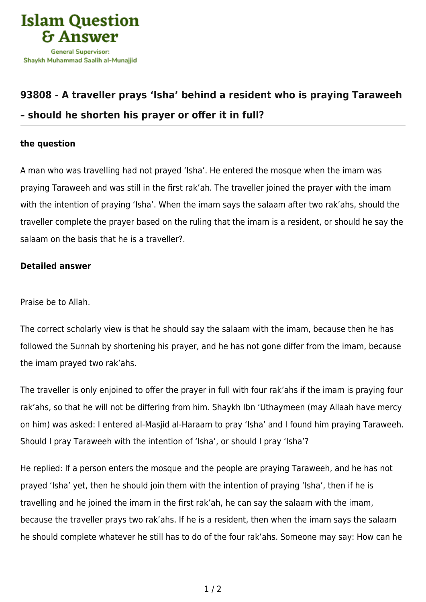

## **[93808 - A traveller prays 'Isha' behind a resident who is praying Taraweeh](https://islamqa.com/en/answers/93808/a-traveller-prays-isha-behind-a-resident-who-is-praying-taraweeh-should-he-shorten-his-prayer-or-offer-it-in-full) [– should he shorten his prayer or offer it in full?](https://islamqa.com/en/answers/93808/a-traveller-prays-isha-behind-a-resident-who-is-praying-taraweeh-should-he-shorten-his-prayer-or-offer-it-in-full)**

## **the question**

A man who was travelling had not prayed 'Isha'. He entered the mosque when the imam was praying Taraweeh and was still in the first rak'ah. The traveller joined the prayer with the imam with the intention of praying 'Isha'. When the imam says the salaam after two rak'ahs, should the traveller complete the prayer based on the ruling that the imam is a resident, or should he say the salaam on the basis that he is a traveller?.

## **Detailed answer**

Praise be to Allah.

The correct scholarly view is that he should say the salaam with the imam, because then he has followed the Sunnah by shortening his prayer, and he has not gone differ from the imam, because the imam prayed two rak'ahs.

The traveller is only enjoined to offer the prayer in full with four rak'ahs if the imam is praying four rak'ahs, so that he will not be differing from him. Shaykh Ibn 'Uthaymeen (may Allaah have mercy on him) was asked: I entered al-Masjid al-Haraam to pray 'Isha' and I found him praying Taraweeh. Should I pray Taraweeh with the intention of 'Isha', or should I pray 'Isha'?

He replied: If a person enters the mosque and the people are praying Taraweeh, and he has not prayed 'Isha' yet, then he should join them with the intention of praying 'Isha', then if he is travelling and he joined the imam in the first rak'ah, he can say the salaam with the imam, because the traveller prays two rak'ahs. If he is a resident, then when the imam says the salaam he should complete whatever he still has to do of the four rak'ahs. Someone may say: How can he